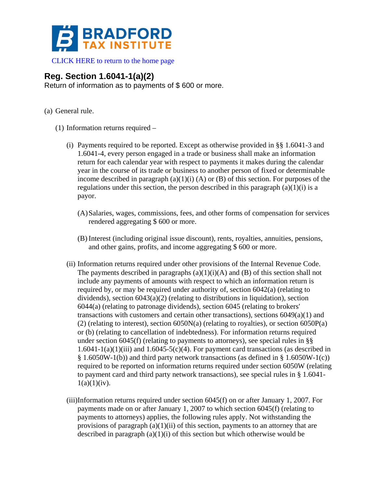

[CLICK HERE to return to the home page](https://www.bradfordtaxinstitute.com) 

## **Reg. Section 1.6041-1(a)(2)**

Return of information as to payments of \$ 600 or more.

- (a) General rule.
	- (1) Information returns required
		- (i) Payments required to be reported. Except as otherwise provided in §§ 1.6041-3 and 1.6041-4, every person engaged in a trade or business shall make an information return for each calendar year with respect to payments it makes during the calendar year in the course of its trade or business to another person of fixed or determinable income described in paragraph  $(a)(1)(i)$  (A) or (B) of this section. For purposes of the regulations under this section, the person described in this paragraph  $(a)(1)(i)$  is a payor.
			- (A)Salaries, wages, commissions, fees, and other forms of compensation for services rendered aggregating \$ 600 or more.
			- (B) Interest (including original issue discount), rents, royalties, annuities, pensions, and other gains, profits, and income aggregating \$ 600 or more.
		- (ii) Information returns required under other provisions of the Internal Revenue Code. The payments described in paragraphs  $(a)(1)(i)(A)$  and  $(B)$  of this section shall not include any payments of amounts with respect to which an information return is required by, or may be required under authority of, section  $6042(a)$  (relating to dividends), section 6043(a)(2) (relating to distributions in liquidation), section 6044(a) (relating to patronage dividends), section 6045 (relating to brokers' transactions with customers and certain other transactions), sections 6049(a)(1) and (2) (relating to interest), section 6050N(a) (relating to royalties), or section 6050P(a) or (b) (relating to cancellation of indebtedness). For information returns required under section  $6045(f)$  (relating to payments to attorneys), see special rules in §§  $1.6041-1(a)(1)(iii)$  and  $1.6045-5(c)(4)$ . For payment card transactions (as described in § 1.6050W-1(b)) and third party network transactions (as defined in § 1.6050W-1(c)) required to be reported on information returns required under section 6050W (relating to payment card and third party network transactions), see special rules in § 1.6041-  $1(a)(1)(iv)$ .
		- (iii)Information returns required under section 6045(f) on or after January 1, 2007. For payments made on or after January 1, 2007 to which section 6045(f) (relating to payments to attorneys) applies, the following rules apply. Not withstanding the provisions of paragraph  $(a)(1)(ii)$  of this section, payments to an attorney that are described in paragraph  $(a)(1)(i)$  of this section but which otherwise would be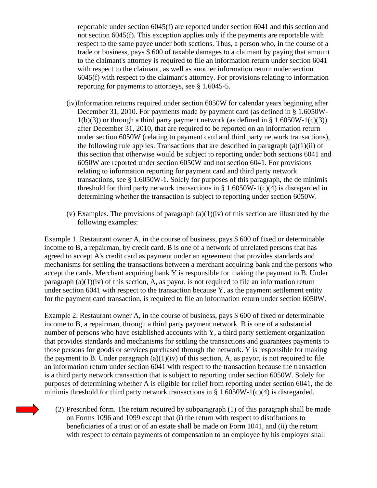reportable under section 6045(f) are reported under section 6041 and this section and not section 6045(f). This exception applies only if the payments are reportable with respect to the same payee under both sections. Thus, a person who, in the course of a trade or business, pays \$ 600 of taxable damages to a claimant by paying that amount to the claimant's attorney is required to file an information return under section 6041 with respect to the claimant, as well as another information return under section 6045(f) with respect to the claimant's attorney. For provisions relating to information reporting for payments to attorneys, see § 1.6045-5.

- (iv)Information returns required under section 6050W for calendar years beginning after December 31, 2010. For payments made by payment card (as defined in § 1.6050W- $1(b)(3)$  or through a third party payment network (as defined in § 1.6050W-1(c)(3)) after December 31, 2010, that are required to be reported on an information return under section 6050W (relating to payment card and third party network transactions), the following rule applies. Transactions that are described in paragraph  $(a)(1)(ii)$  of this section that otherwise would be subject to reporting under both sections 6041 and 6050W are reported under section 6050W and not section 6041. For provisions relating to information reporting for payment card and third party network transactions, see § 1.6050W-1. Solely for purposes of this paragraph, the de minimis threshold for third party network transactions in §  $1.6050W-1(c)(4)$  is disregarded in determining whether the transaction is subject to reporting under section 6050W.
- (v) Examples. The provisions of paragraph  $(a)(1)(iv)$  of this section are illustrated by the following examples:

Example 1. Restaurant owner A, in the course of business, pays \$ 600 of fixed or determinable income to B, a repairman, by credit card. B is one of a network of unrelated persons that has agreed to accept A's credit card as payment under an agreement that provides standards and mechanisms for settling the transactions between a merchant acquiring bank and the persons who accept the cards. Merchant acquiring bank Y is responsible for making the payment to B. Under paragraph  $(a)(1)(iv)$  of this section, A, as payor, is not required to file an information return under section  $6041$  with respect to the transaction because Y, as the payment settlement entity for the payment card transaction, is required to file an information return under section 6050W.

Example 2. Restaurant owner A, in the course of business, pays \$ 600 of fixed or determinable income to B, a repairman, through a third party payment network. B is one of a substantial number of persons who have established accounts with Y, a third party settlement organization that provides standards and mechanisms for settling the transactions and guarantees payments to those persons for goods or services purchased through the network. Y is responsible for making the payment to B. Under paragraph  $(a)(1)(iv)$  of this section, A, as payor, is not required to file an information return under section 6041 with respect to the transaction because the transaction is a third party network transaction that is subject to reporting under section 6050W. Solely for purposes of determining whether A is eligible for relief from reporting under section 6041, the de minimis threshold for third party network transactions in  $\S 1.6050W-1(c)(4)$  is disregarded.

(2) Prescribed form. The return required by subparagraph (1) of this paragraph shall be made on Forms 1096 and 1099 except that (i) the return with respect to distributions to beneficiaries of a trust or of an estate shall be made on Form 1041, and (ii) the return with respect to certain payments of compensation to an employee by his employer shall